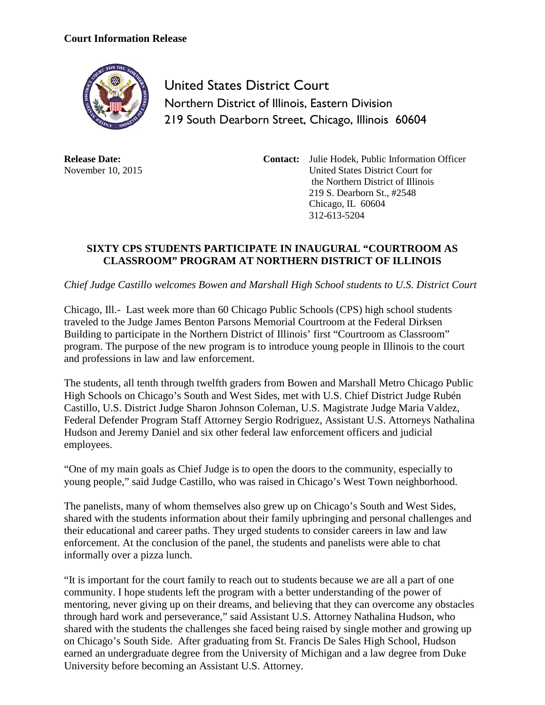## **Court Information Release**



United States District Court Northern District of Illinois, Eastern Division 219 South Dearborn Street, Chicago, Illinois 60604

**Release Date:** November 10, 2015 **Contact:** Julie Hodek, Public Information Officer United States District Court for the Northern District of Illinois 219 S. Dearborn St., #2548 Chicago, IL 60604 312-613-5204

## **SIXTY CPS STUDENTS PARTICIPATE IN INAUGURAL "COURTROOM AS CLASSROOM" PROGRAM AT NORTHERN DISTRICT OF ILLINOIS**

*Chief Judge Castillo welcomes Bowen and Marshall High School students to U.S. District Court* 

Chicago, Ill.- Last week more than 60 Chicago Public Schools (CPS) high school students traveled to the Judge James Benton Parsons Memorial Courtroom at the Federal Dirksen Building to participate in the Northern District of Illinois' first "Courtroom as Classroom" program. The purpose of the new program is to introduce young people in Illinois to the court and professions in law and law enforcement.

The students, all tenth through twelfth graders from Bowen and Marshall Metro Chicago Public High Schools on Chicago's South and West Sides, met with U.S. Chief District Judge Rubén Castillo, U.S. District Judge Sharon Johnson Coleman, U.S. Magistrate Judge Maria Valdez, Federal Defender Program Staff Attorney Sergio Rodriguez, Assistant U.S. Attorneys Nathalina Hudson and Jeremy Daniel and six other federal law enforcement officers and judicial employees.

"One of my main goals as Chief Judge is to open the doors to the community, especially to young people," said Judge Castillo, who was raised in Chicago's West Town neighborhood.

The panelists, many of whom themselves also grew up on Chicago's South and West Sides, shared with the students information about their family upbringing and personal challenges and their educational and career paths. They urged students to consider careers in law and law enforcement. At the conclusion of the panel, the students and panelists were able to chat informally over a pizza lunch.

"It is important for the court family to reach out to students because we are all a part of one community. I hope students left the program with a better understanding of the power of mentoring, never giving up on their dreams, and believing that they can overcome any obstacles through hard work and perseverance," said Assistant U.S. Attorney Nathalina Hudson, who shared with the students the challenges she faced being raised by single mother and growing up on Chicago's South Side. After graduating from St. Francis De Sales High School, Hudson earned an undergraduate degree from the University of Michigan and a law degree from Duke University before becoming an Assistant U.S. Attorney.